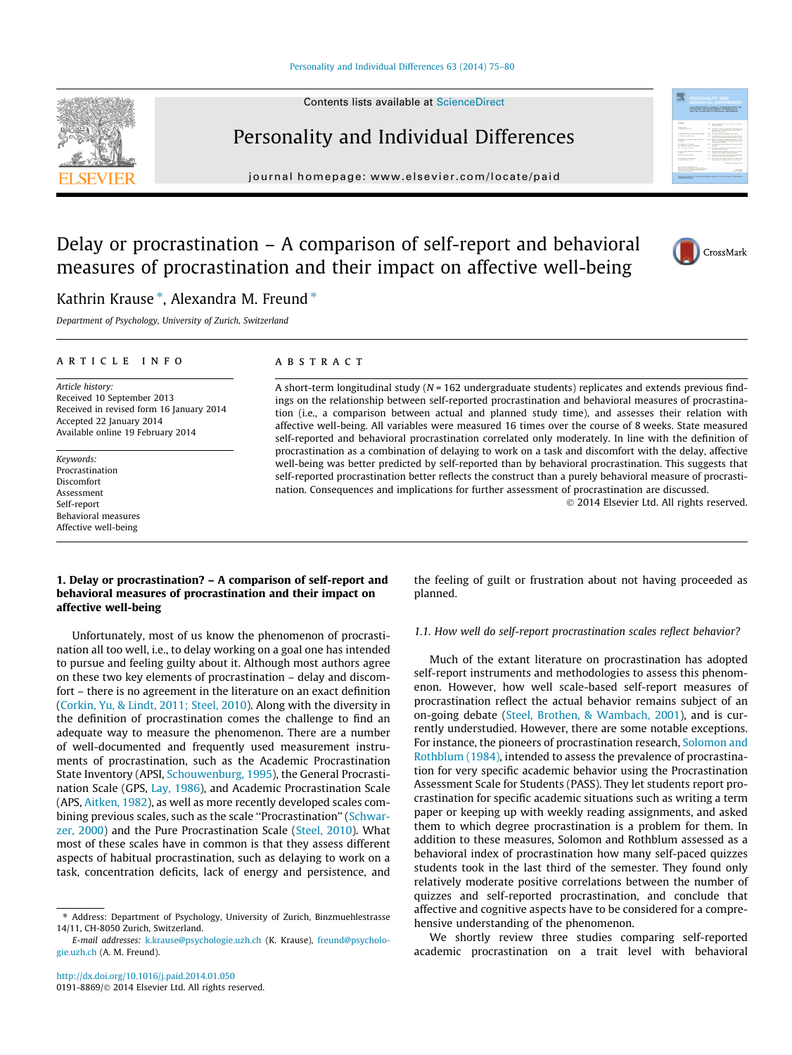#### [Personality and Individual Differences 63 \(2014\) 75–80](http://dx.doi.org/10.1016/j.paid.2014.01.050)

Contents lists available at [ScienceDirect](http://www.sciencedirect.com/science/journal/01918869)



## Personality and Individual Differences

journal homepage: [www.elsevier.com/locate/paid](http://www.elsevier.com/locate/paid)



## Delay or procrastination – A comparison of self-report and behavioral measures of procrastination and their impact on affective well-being



### Kathrin Krause \*, Alexandra M. Freund \*

Department of Psychology, University of Zurich, Switzerland

#### article info

Article history: Received 10 September 2013 Received in revised form 16 January 2014 Accepted 22 January 2014 Available online 19 February 2014

Keywords: Procrastination Discomfort Assessment Self-report Behavioral measures Affective well-being

#### **ABSTRACT**

A short-term longitudinal study ( $N = 162$  undergraduate students) replicates and extends previous findings on the relationship between self-reported procrastination and behavioral measures of procrastination (i.e., a comparison between actual and planned study time), and assesses their relation with affective well-being. All variables were measured 16 times over the course of 8 weeks. State measured self-reported and behavioral procrastination correlated only moderately. In line with the definition of procrastination as a combination of delaying to work on a task and discomfort with the delay, affective well-being was better predicted by self-reported than by behavioral procrastination. This suggests that self-reported procrastination better reflects the construct than a purely behavioral measure of procrastination. Consequences and implications for further assessment of procrastination are discussed.

- 2014 Elsevier Ltd. All rights reserved.

#### 1. Delay or procrastination? – A comparison of self-report and behavioral measures of procrastination and their impact on affective well-being

Unfortunately, most of us know the phenomenon of procrastination all too well, i.e., to delay working on a goal one has intended to pursue and feeling guilty about it. Although most authors agree on these two key elements of procrastination – delay and discomfort – there is no agreement in the literature on an exact definition ([Corkin, Yu, & Lindt, 2011; Steel, 2010](#page--1-0)). Along with the diversity in the definition of procrastination comes the challenge to find an adequate way to measure the phenomenon. There are a number of well-documented and frequently used measurement instruments of procrastination, such as the Academic Procrastination State Inventory (APSI, [Schouwenburg, 1995\)](#page--1-0), the General Procrastination Scale (GPS, [Lay, 1986](#page--1-0)), and Academic Procrastination Scale (APS, [Aitken, 1982\)](#page--1-0), as well as more recently developed scales com-bining previous scales, such as the scale "Procrastination" ([Schwar](#page--1-0)[zer, 2000\)](#page--1-0) and the Pure Procrastination Scale ([Steel, 2010\)](#page--1-0). What most of these scales have in common is that they assess different aspects of habitual procrastination, such as delaying to work on a task, concentration deficits, lack of energy and persistence, and the feeling of guilt or frustration about not having proceeded as planned.

#### 1.1. How well do self-report procrastination scales reflect behavior?

Much of the extant literature on procrastination has adopted self-report instruments and methodologies to assess this phenomenon. However, how well scale-based self-report measures of procrastination reflect the actual behavior remains subject of an on-going debate ([Steel, Brothen, & Wambach, 2001\)](#page--1-0), and is currently understudied. However, there are some notable exceptions. For instance, the pioneers of procrastination research, [Solomon and](#page--1-0) [Rothblum \(1984\),](#page--1-0) intended to assess the prevalence of procrastination for very specific academic behavior using the Procrastination Assessment Scale for Students (PASS). They let students report procrastination for specific academic situations such as writing a term paper or keeping up with weekly reading assignments, and asked them to which degree procrastination is a problem for them. In addition to these measures, Solomon and Rothblum assessed as a behavioral index of procrastination how many self-paced quizzes students took in the last third of the semester. They found only relatively moderate positive correlations between the number of quizzes and self-reported procrastination, and conclude that affective and cognitive aspects have to be considered for a comprehensive understanding of the phenomenon.

We shortly review three studies comparing self-reported academic procrastination on a trait level with behavioral

<sup>⇑</sup> Address: Department of Psychology, University of Zurich, Binzmuehlestrasse 14/11, CH-8050 Zurich, Switzerland.

E-mail addresses: [k.krause@psychologie.uzh.ch](mailto:k.krause@psychologie.uzh.ch) (K. Krause), [freund@psycholo](mailto:freund@psychologie.uzh.ch)[gie.uzh.ch](mailto:freund@psychologie.uzh.ch) (A. M. Freund).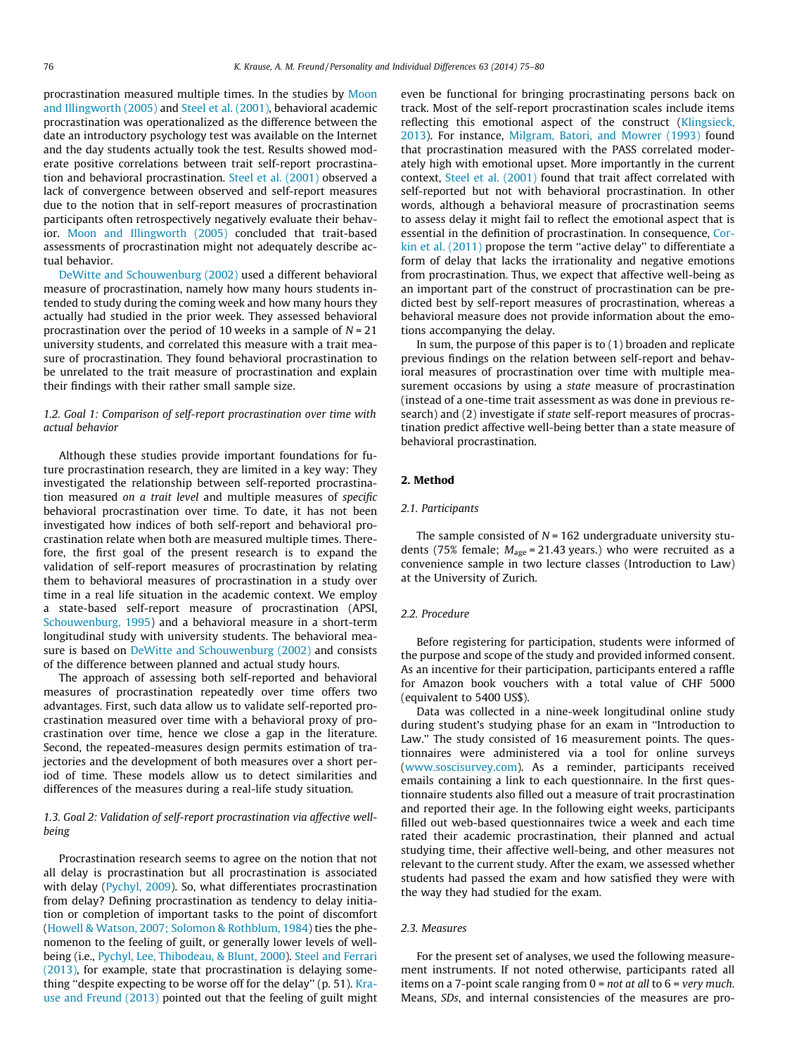procrastination measured multiple times. In the studies by [Moon](#page--1-0) [and Illingworth \(2005\)](#page--1-0) and [Steel et al. \(2001\)](#page--1-0), behavioral academic procrastination was operationalized as the difference between the date an introductory psychology test was available on the Internet and the day students actually took the test. Results showed moderate positive correlations between trait self-report procrastination and behavioral procrastination. [Steel et al. \(2001\)](#page--1-0) observed a lack of convergence between observed and self-report measures due to the notion that in self-report measures of procrastination participants often retrospectively negatively evaluate their behavior. [Moon and Illingworth \(2005\)](#page--1-0) concluded that trait-based assessments of procrastination might not adequately describe actual behavior.

[DeWitte and Schouwenburg \(2002\)](#page--1-0) used a different behavioral measure of procrastination, namely how many hours students intended to study during the coming week and how many hours they actually had studied in the prior week. They assessed behavioral procrastination over the period of 10 weeks in a sample of  $N = 21$ university students, and correlated this measure with a trait measure of procrastination. They found behavioral procrastination to be unrelated to the trait measure of procrastination and explain their findings with their rather small sample size.

#### 1.2. Goal 1: Comparison of self-report procrastination over time with actual behavior

Although these studies provide important foundations for future procrastination research, they are limited in a key way: They investigated the relationship between self-reported procrastination measured on a trait level and multiple measures of specific behavioral procrastination over time. To date, it has not been investigated how indices of both self-report and behavioral procrastination relate when both are measured multiple times. Therefore, the first goal of the present research is to expand the validation of self-report measures of procrastination by relating them to behavioral measures of procrastination in a study over time in a real life situation in the academic context. We employ a state-based self-report measure of procrastination (APSI, [Schouwenburg, 1995](#page--1-0)) and a behavioral measure in a short-term longitudinal study with university students. The behavioral measure is based on [DeWitte and Schouwenburg \(2002\)](#page--1-0) and consists of the difference between planned and actual study hours.

The approach of assessing both self-reported and behavioral measures of procrastination repeatedly over time offers two advantages. First, such data allow us to validate self-reported procrastination measured over time with a behavioral proxy of procrastination over time, hence we close a gap in the literature. Second, the repeated-measures design permits estimation of trajectories and the development of both measures over a short period of time. These models allow us to detect similarities and differences of the measures during a real-life study situation.

#### 1.3. Goal 2: Validation of self-report procrastination via affective wellbeing

Procrastination research seems to agree on the notion that not all delay is procrastination but all procrastination is associated with delay ([Pychyl, 2009\)](#page--1-0). So, what differentiates procrastination from delay? Defining procrastination as tendency to delay initiation or completion of important tasks to the point of discomfort ([Howell & Watson, 2007; Solomon & Rothblum, 1984\)](#page--1-0) ties the phenomenon to the feeling of guilt, or generally lower levels of wellbeing (i.e., [Pychyl, Lee, Thibodeau, & Blunt, 2000\)](#page--1-0). [Steel and Ferrari](#page--1-0) [\(2013\),](#page--1-0) for example, state that procrastination is delaying something ''despite expecting to be worse off for the delay'' (p. 51). [Kra](#page--1-0)[use and Freund \(2013\)](#page--1-0) pointed out that the feeling of guilt might even be functional for bringing procrastinating persons back on track. Most of the self-report procrastination scales include items reflecting this emotional aspect of the construct ([Klingsieck,](#page--1-0) [2013\)](#page--1-0). For instance, [Milgram, Batori, and Mowrer \(1993\)](#page--1-0) found that procrastination measured with the PASS correlated moderately high with emotional upset. More importantly in the current context, [Steel et al. \(2001\)](#page--1-0) found that trait affect correlated with self-reported but not with behavioral procrastination. In other words, although a behavioral measure of procrastination seems to assess delay it might fail to reflect the emotional aspect that is essential in the definition of procrastination. In consequence, [Cor](#page--1-0)[kin et al. \(2011\)](#page--1-0) propose the term ''active delay'' to differentiate a form of delay that lacks the irrationality and negative emotions from procrastination. Thus, we expect that affective well-being as an important part of the construct of procrastination can be predicted best by self-report measures of procrastination, whereas a behavioral measure does not provide information about the emotions accompanying the delay.

In sum, the purpose of this paper is to (1) broaden and replicate previous findings on the relation between self-report and behavioral measures of procrastination over time with multiple measurement occasions by using a state measure of procrastination (instead of a one-time trait assessment as was done in previous research) and (2) investigate if state self-report measures of procrastination predict affective well-being better than a state measure of behavioral procrastination.

#### 2. Method

#### 2.1. Participants

The sample consisted of  $N = 162$  undergraduate university students (75% female;  $M_{\text{age}} = 21.43$  years.) who were recruited as a convenience sample in two lecture classes (Introduction to Law) at the University of Zurich.

#### 2.2. Procedure

Before registering for participation, students were informed of the purpose and scope of the study and provided informed consent. As an incentive for their participation, participants entered a raffle for Amazon book vouchers with a total value of CHF 5000 (equivalent to 5400 US\$).

Data was collected in a nine-week longitudinal online study during student's studying phase for an exam in ''Introduction to Law.'' The study consisted of 16 measurement points. The questionnaires were administered via a tool for online surveys ([www.soscisurvey.com](http://www.soscisurvey.com)). As a reminder, participants received emails containing a link to each questionnaire. In the first questionnaire students also filled out a measure of trait procrastination and reported their age. In the following eight weeks, participants filled out web-based questionnaires twice a week and each time rated their academic procrastination, their planned and actual studying time, their affective well-being, and other measures not relevant to the current study. After the exam, we assessed whether students had passed the exam and how satisfied they were with the way they had studied for the exam.

#### 2.3. Measures

For the present set of analyses, we used the following measurement instruments. If not noted otherwise, participants rated all items on a 7-point scale ranging from 0 = not at all to 6 = very much. Means, SDs, and internal consistencies of the measures are pro-